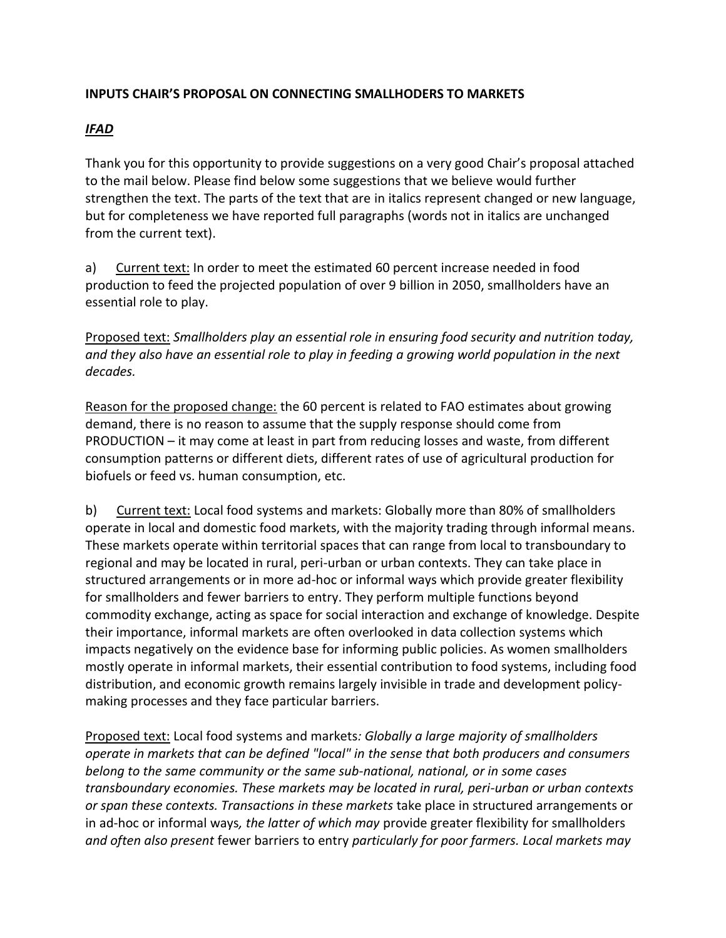## **INPUTS CHAIR'S PROPOSAL ON CONNECTING SMALLHODERS TO MARKETS**

## *IFAD*

Thank you for this opportunity to provide suggestions on a very good Chair's proposal attached to the mail below. Please find below some suggestions that we believe would further strengthen the text. The parts of the text that are in italics represent changed or new language, but for completeness we have reported full paragraphs (words not in italics are unchanged from the current text).

a) Current text: In order to meet the estimated 60 percent increase needed in food production to feed the projected population of over 9 billion in 2050, smallholders have an essential role to play.

Proposed text: *Smallholders play an essential role in ensuring food security and nutrition today, and they also have an essential role to play in feeding a growing world population in the next decades.*

Reason for the proposed change: the 60 percent is related to FAO estimates about growing demand, there is no reason to assume that the supply response should come from PRODUCTION – it may come at least in part from reducing losses and waste, from different consumption patterns or different diets, different rates of use of agricultural production for biofuels or feed vs. human consumption, etc.

b) Current text: Local food systems and markets: Globally more than 80% of smallholders operate in local and domestic food markets, with the majority trading through informal means. These markets operate within territorial spaces that can range from local to transboundary to regional and may be located in rural, peri-urban or urban contexts. They can take place in structured arrangements or in more ad-hoc or informal ways which provide greater flexibility for smallholders and fewer barriers to entry. They perform multiple functions beyond commodity exchange, acting as space for social interaction and exchange of knowledge. Despite their importance, informal markets are often overlooked in data collection systems which impacts negatively on the evidence base for informing public policies. As women smallholders mostly operate in informal markets, their essential contribution to food systems, including food distribution, and economic growth remains largely invisible in trade and development policymaking processes and they face particular barriers.

Proposed text: Local food systems and markets*: Globally a large majority of smallholders operate in markets that can be defined "local" in the sense that both producers and consumers belong to the same community or the same sub-national, national, or in some cases transboundary economies. These markets may be located in rural, peri-urban or urban contexts or span these contexts. Transactions in these markets* take place in structured arrangements or in ad-hoc or informal ways*, the latter of which may* provide greater flexibility for smallholders *and often also present* fewer barriers to entry *particularly for poor farmers. Local markets may*